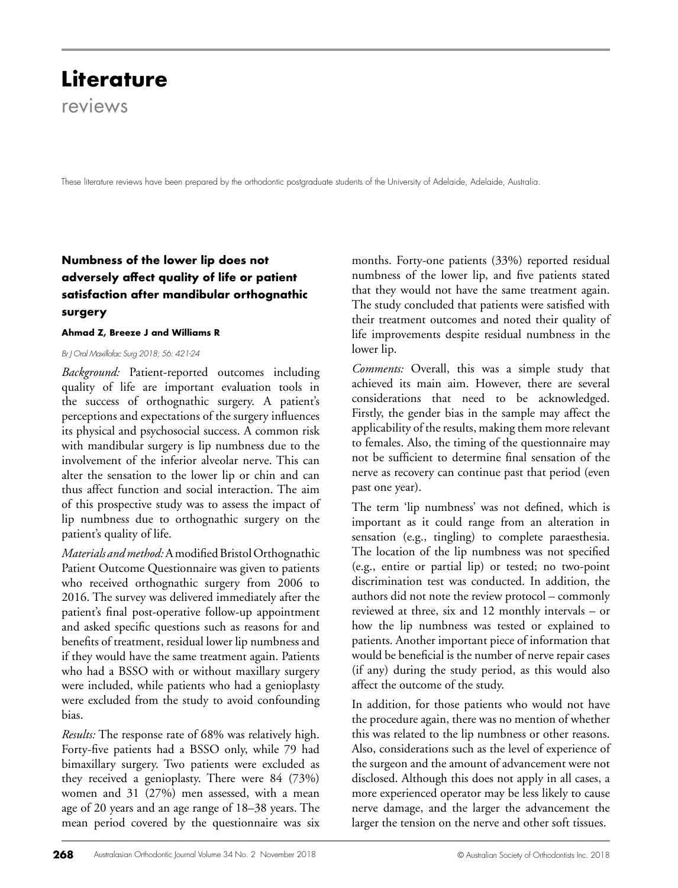# **Literature** reviews

These literature reviews have been prepared by the orthodontic postgraduate students of the University of Adelaide, Adelaide, Australia.

# **Numbness of the lower lip does not adversely affect quality of life or patient satisfaction after mandibular orthognathic surgery**

#### **Ahmad Z, Breeze J and Williams R**

#### *Br J Oral Maxillofac Surg 2018; 56: 421-24*

*Background:* Patient-reported outcomes including quality of life are important evaluation tools in the success of orthognathic surgery. A patient's perceptions and expectations of the surgery influences its physical and psychosocial success. A common risk with mandibular surgery is lip numbness due to the involvement of the inferior alveolar nerve. This can alter the sensation to the lower lip or chin and can thus affect function and social interaction. The aim of this prospective study was to assess the impact of lip numbness due to orthognathic surgery on the patient's quality of life.

*Materials and method:* A modified Bristol Orthognathic Patient Outcome Questionnaire was given to patients who received orthognathic surgery from 2006 to 2016. The survey was delivered immediately after the patient's final post-operative follow-up appointment and asked specific questions such as reasons for and benefits of treatment, residual lower lip numbness and if they would have the same treatment again. Patients who had a BSSO with or without maxillary surgery were included, while patients who had a genioplasty were excluded from the study to avoid confounding bias.

*Results:* The response rate of 68% was relatively high. Forty-five patients had a BSSO only, while 79 had bimaxillary surgery. Two patients were excluded as they received a genioplasty. There were 84 (73%) women and 31 (27%) men assessed, with a mean age of 20 years and an age range of 18–38 years. The mean period covered by the questionnaire was six

months. Forty-one patients (33%) reported residual numbness of the lower lip, and five patients stated that they would not have the same treatment again. The study concluded that patients were satisfied with their treatment outcomes and noted their quality of life improvements despite residual numbness in the lower lip.

*Comments:* Overall, this was a simple study that achieved its main aim. However, there are several considerations that need to be acknowledged. Firstly, the gender bias in the sample may affect the applicability of the results, making them more relevant to females. Also, the timing of the questionnaire may not be sufficient to determine final sensation of the nerve as recovery can continue past that period (even past one year).

The term 'lip numbness' was not defined, which is important as it could range from an alteration in sensation (e.g., tingling) to complete paraesthesia. The location of the lip numbness was not specified (e.g., entire or partial lip) or tested; no two-point discrimination test was conducted. In addition, the authors did not note the review protocol – commonly reviewed at three, six and 12 monthly intervals – or how the lip numbness was tested or explained to patients. Another important piece of information that would be beneficial is the number of nerve repair cases (if any) during the study period, as this would also affect the outcome of the study.

In addition, for those patients who would not have the procedure again, there was no mention of whether this was related to the lip numbness or other reasons. Also, considerations such as the level of experience of the surgeon and the amount of advancement were not disclosed. Although this does not apply in all cases, a more experienced operator may be less likely to cause nerve damage, and the larger the advancement the larger the tension on the nerve and other soft tissues.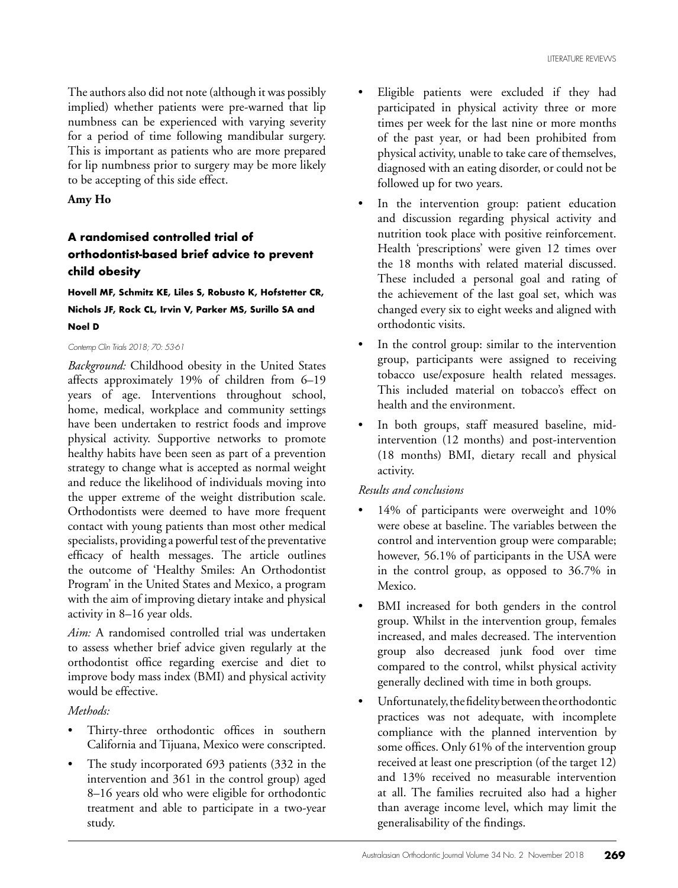The authors also did not note (although it was possibly implied) whether patients were pre-warned that lip numbness can be experienced with varying severity for a period of time following mandibular surgery. This is important as patients who are more prepared for lip numbness prior to surgery may be more likely to be accepting of this side effect.

### **Amy Ho**

# **A randomised controlled trial of orthodontist-based brief advice to prevent child obesity**

**Hovell MF, Schmitz KE, Liles S, Robusto K, Hofstetter CR, Nichols JF, Rock CL, Irvin V, Parker MS, Surillo SA and Noel D**

#### *Contemp Clin Trials 2018; 70: 53-61*

*Background:* Childhood obesity in the United States affects approximately 19% of children from 6–19 years of age. Interventions throughout school, home, medical, workplace and community settings have been undertaken to restrict foods and improve physical activity. Supportive networks to promote healthy habits have been seen as part of a prevention strategy to change what is accepted as normal weight and reduce the likelihood of individuals moving into the upper extreme of the weight distribution scale. Orthodontists were deemed to have more frequent contact with young patients than most other medical specialists, providing a powerful test of the preventative efficacy of health messages. The article outlines the outcome of 'Healthy Smiles: An Orthodontist Program' in the United States and Mexico, a program with the aim of improving dietary intake and physical activity in 8–16 year olds.

*Aim:* A randomised controlled trial was undertaken to assess whether brief advice given regularly at the orthodontist office regarding exercise and diet to improve body mass index (BMI) and physical activity would be effective.

### *Methods:*

- Thirty-three orthodontic offices in southern California and Tijuana, Mexico were conscripted.
- The study incorporated 693 patients (332 in the intervention and 361 in the control group) aged 8–16 years old who were eligible for orthodontic treatment and able to participate in a two-year study.
- Eligible patients were excluded if they had participated in physical activity three or more times per week for the last nine or more months of the past year, or had been prohibited from physical activity, unable to take care of themselves, diagnosed with an eating disorder, or could not be followed up for two years.
- In the intervention group: patient education and discussion regarding physical activity and nutrition took place with positive reinforcement. Health 'prescriptions' were given 12 times over the 18 months with related material discussed. These included a personal goal and rating of the achievement of the last goal set, which was changed every six to eight weeks and aligned with orthodontic visits.
- In the control group: similar to the intervention group, participants were assigned to receiving tobacco use/exposure health related messages. This included material on tobacco's effect on health and the environment.
- In both groups, staff measured baseline, midintervention (12 months) and post-intervention (18 months) BMI, dietary recall and physical activity.

### *Results and conclusions*

- 14% of participants were overweight and 10% were obese at baseline. The variables between the control and intervention group were comparable; however, 56.1% of participants in the USA were in the control group, as opposed to 36.7% in Mexico.
- BMI increased for both genders in the control group. Whilst in the intervention group, females increased, and males decreased. The intervention group also decreased junk food over time compared to the control, whilst physical activity generally declined with time in both groups.
- Unfortunately, the fidelity between the orthodontic practices was not adequate, with incomplete compliance with the planned intervention by some offices. Only 61% of the intervention group received at least one prescription (of the target 12) and 13% received no measurable intervention at all. The families recruited also had a higher than average income level, which may limit the generalisability of the findings.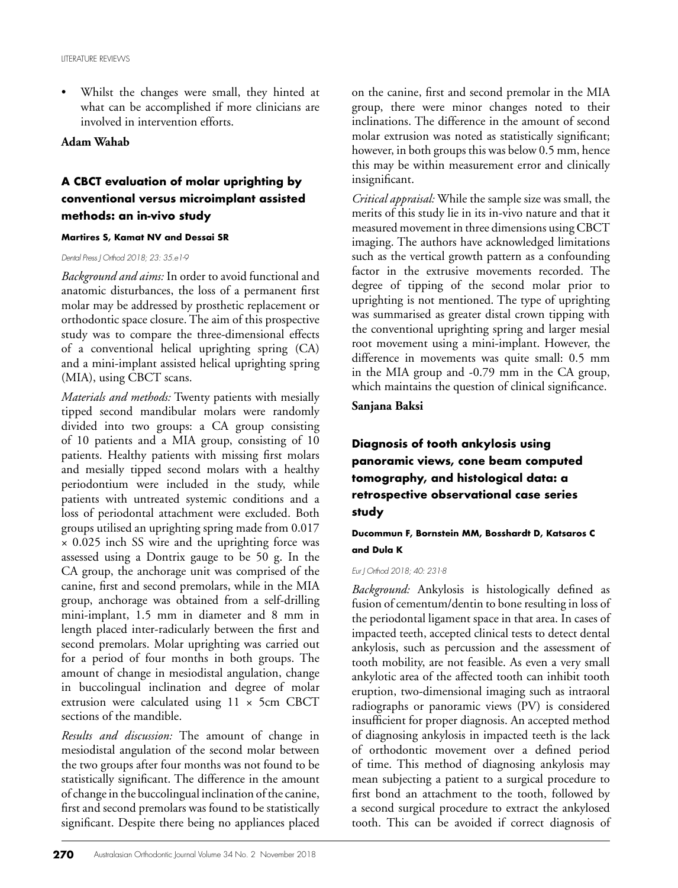Whilst the changes were small, they hinted at what can be accomplished if more clinicians are involved in intervention efforts.

#### **Adam Wahab**

# **A CBCT evaluation of molar uprighting by conventional versus microimplant assisted methods: an in-vivo study**

#### **Martires S, Kamat NV and Dessai SR**

#### *Dental Press J Orthod 2018; 23: 35.e1-9*

*Background and aims:* In order to avoid functional and anatomic disturbances, the loss of a permanent first molar may be addressed by prosthetic replacement or orthodontic space closure. The aim of this prospective study was to compare the three-dimensional effects of a conventional helical uprighting spring (CA) and a mini-implant assisted helical uprighting spring (MIA), using CBCT scans.

*Materials and methods:* Twenty patients with mesially tipped second mandibular molars were randomly divided into two groups: a CA group consisting of 10 patients and a MIA group, consisting of 10 patients. Healthy patients with missing first molars and mesially tipped second molars with a healthy periodontium were included in the study, while patients with untreated systemic conditions and a loss of periodontal attachment were excluded. Both groups utilised an uprighting spring made from 0.017 × 0.025 inch SS wire and the uprighting force was assessed using a Dontrix gauge to be 50 g. In the CA group, the anchorage unit was comprised of the canine, first and second premolars, while in the MIA group, anchorage was obtained from a self-drilling mini-implant, 1.5 mm in diameter and 8 mm in length placed inter-radicularly between the first and second premolars. Molar uprighting was carried out for a period of four months in both groups. The amount of change in mesiodistal angulation, change in buccolingual inclination and degree of molar extrusion were calculated using 11 × 5cm CBCT sections of the mandible.

*Results and discussion:* The amount of change in mesiodistal angulation of the second molar between the two groups after four months was not found to be statistically significant. The difference in the amount of change in the buccolingual inclination of the canine, first and second premolars was found to be statistically significant. Despite there being no appliances placed

on the canine, first and second premolar in the MIA group, there were minor changes noted to their inclinations. The difference in the amount of second molar extrusion was noted as statistically significant; however, in both groups this was below 0.5 mm, hence this may be within measurement error and clinically insignificant.

*Critical appraisal:* While the sample size was small, the merits of this study lie in its in-vivo nature and that it measured movement in three dimensions using CBCT imaging. The authors have acknowledged limitations such as the vertical growth pattern as a confounding factor in the extrusive movements recorded. The degree of tipping of the second molar prior to uprighting is not mentioned. The type of uprighting was summarised as greater distal crown tipping with the conventional uprighting spring and larger mesial root movement using a mini-implant. However, the difference in movements was quite small: 0.5 mm in the MIA group and -0.79 mm in the CA group, which maintains the question of clinical significance.

### **Sanjana Baksi**

# **Diagnosis of tooth ankylosis using panoramic views, cone beam computed tomography, and histological data: a retrospective observational case series study**

**Ducommun F, Bornstein MM, Bosshardt D, Katsaros C and Dula K**

#### *Eur J Orthod 2018; 40: 231-8*

*Background:* Ankylosis is histologically defined as fusion of cementum/dentin to bone resulting in loss of the periodontal ligament space in that area. In cases of impacted teeth, accepted clinical tests to detect dental ankylosis, such as percussion and the assessment of tooth mobility, are not feasible. As even a very small ankylotic area of the affected tooth can inhibit tooth eruption, two-dimensional imaging such as intraoral radiographs or panoramic views (PV) is considered insufficient for proper diagnosis. An accepted method of diagnosing ankylosis in impacted teeth is the lack of orthodontic movement over a defined period of time. This method of diagnosing ankylosis may mean subjecting a patient to a surgical procedure to first bond an attachment to the tooth, followed by a second surgical procedure to extract the ankylosed tooth. This can be avoided if correct diagnosis of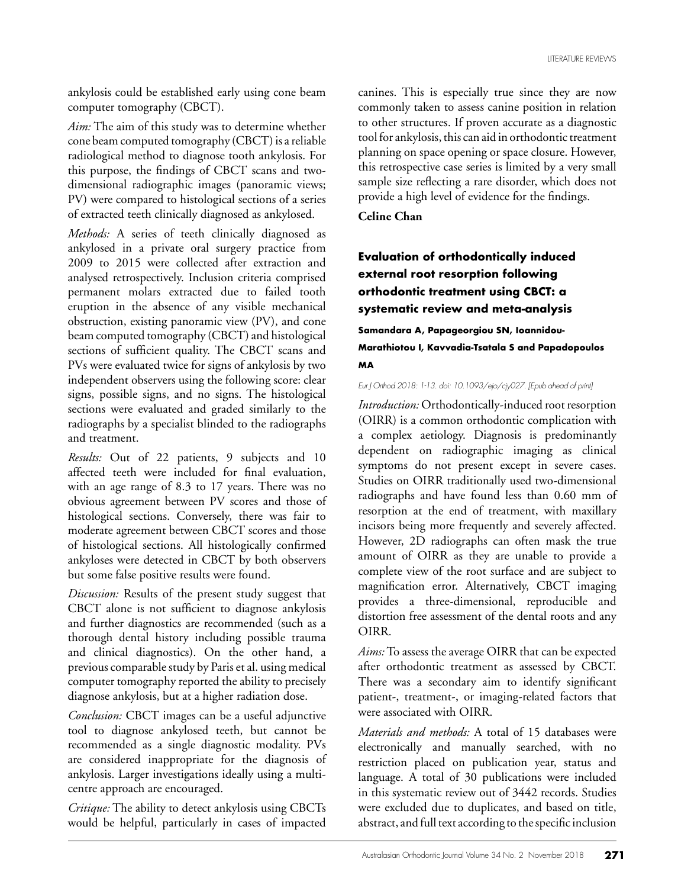ankylosis could be established early using cone beam computer tomography (CBCT).

*Aim:* The aim of this study was to determine whether cone beam computed tomography (CBCT) is a reliable radiological method to diagnose tooth ankylosis. For this purpose, the findings of CBCT scans and twodimensional radiographic images (panoramic views; PV) were compared to histological sections of a series of extracted teeth clinically diagnosed as ankylosed.

*Methods:* A series of teeth clinically diagnosed as ankylosed in a private oral surgery practice from 2009 to 2015 were collected after extraction and analysed retrospectively. Inclusion criteria comprised permanent molars extracted due to failed tooth eruption in the absence of any visible mechanical obstruction, existing panoramic view (PV), and cone beam computed tomography (CBCT) and histological sections of sufficient quality. The CBCT scans and PVs were evaluated twice for signs of ankylosis by two independent observers using the following score: clear signs, possible signs, and no signs. The histological sections were evaluated and graded similarly to the radiographs by a specialist blinded to the radiographs and treatment.

*Results:* Out of 22 patients, 9 subjects and 10 affected teeth were included for final evaluation, with an age range of 8.3 to 17 years. There was no obvious agreement between PV scores and those of histological sections. Conversely, there was fair to moderate agreement between CBCT scores and those of histological sections. All histologically confirmed ankyloses were detected in CBCT by both observers but some false positive results were found.

*Discussion:* Results of the present study suggest that CBCT alone is not sufficient to diagnose ankylosis and further diagnostics are recommended (such as a thorough dental history including possible trauma and clinical diagnostics). On the other hand, a previous comparable study by Paris et al. using medical computer tomography reported the ability to precisely diagnose ankylosis, but at a higher radiation dose.

*Conclusion:* CBCT images can be a useful adjunctive tool to diagnose ankylosed teeth, but cannot be recommended as a single diagnostic modality. PVs are considered inappropriate for the diagnosis of ankylosis. Larger investigations ideally using a multicentre approach are encouraged.

*Critique:* The ability to detect ankylosis using CBCTs would be helpful, particularly in cases of impacted canines. This is especially true since they are now commonly taken to assess canine position in relation to other structures. If proven accurate as a diagnostic tool for ankylosis, this can aid in orthodontic treatment planning on space opening or space closure. However, this retrospective case series is limited by a very small sample size reflecting a rare disorder, which does not provide a high level of evidence for the findings.

**Celine Chan**

# **Evaluation of orthodontically induced external root resorption following orthodontic treatment using CBCT: a systematic review and meta-analysis**

**Samandara A, Papageorgiou SN, Ioannidou-Marathiotou I, Kavvadia-Tsatala S and Papadopoulos MA**

*Eur J Orthod 2018: 1-13. doi: 10.1093/ejo/cjy027. [Epub ahead of print]*

*Introduction:* Orthodontically-induced root resorption (OIRR) is a common orthodontic complication with a complex aetiology. Diagnosis is predominantly dependent on radiographic imaging as clinical symptoms do not present except in severe cases. Studies on OIRR traditionally used two-dimensional radiographs and have found less than 0.60 mm of resorption at the end of treatment, with maxillary incisors being more frequently and severely affected. However, 2D radiographs can often mask the true amount of OIRR as they are unable to provide a complete view of the root surface and are subject to magnification error. Alternatively, CBCT imaging provides a three-dimensional, reproducible and distortion free assessment of the dental roots and any OIRR.

*Aims:* To assess the average OIRR that can be expected after orthodontic treatment as assessed by CBCT. There was a secondary aim to identify significant patient-, treatment-, or imaging-related factors that were associated with OIRR.

*Materials and methods:* A total of 15 databases were electronically and manually searched, with no restriction placed on publication year, status and language. A total of 30 publications were included in this systematic review out of 3442 records. Studies were excluded due to duplicates, and based on title, abstract, and full text according to the specific inclusion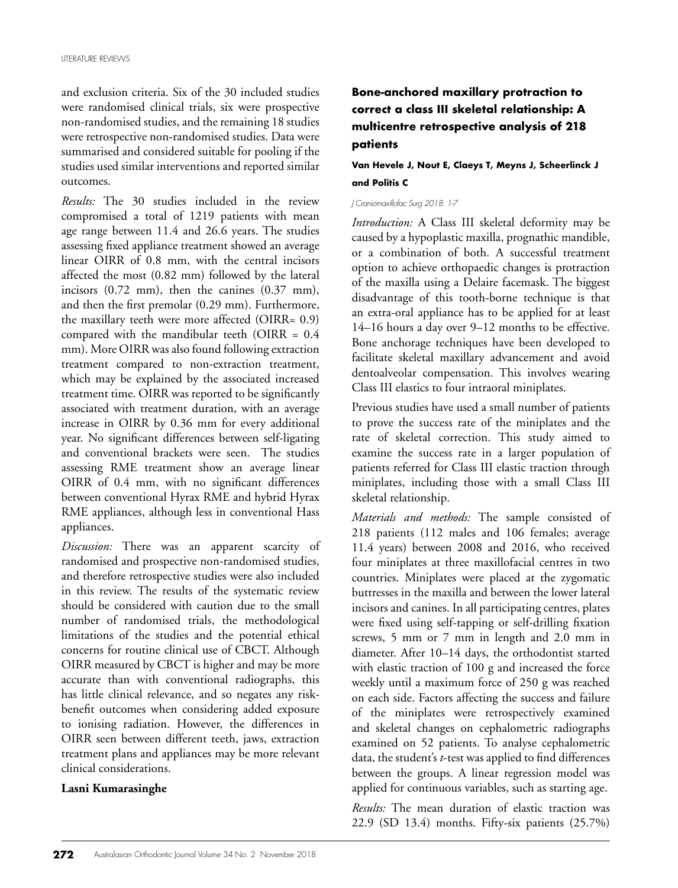and exclusion criteria. Six of the 30 included studies were randomised clinical trials, six were prospective non-randomised studies, and the remaining 18 studies were retrospective non-randomised studies. Data were summarised and considered suitable for pooling if the studies used similar interventions and reported similar outcomes.

*Results:* The 30 studies included in the review compromised a total of 1219 patients with mean age range between 11.4 and 26.6 years. The studies assessing fixed appliance treatment showed an average linear OIRR of 0.8 mm, with the central incisors affected the most (0.82 mm) followed by the lateral incisors (0.72 mm), then the canines (0.37 mm), and then the first premolar (0.29 mm). Furthermore, the maxillary teeth were more affected (OIRR= 0.9) compared with the mandibular teeth (OIRR = 0.4 mm). More OIRR was also found following extraction treatment compared to non-extraction treatment, which may be explained by the associated increased treatment time. OIRR was reported to be significantly associated with treatment duration, with an average increase in OIRR by 0.36 mm for every additional year. No significant differences between self-ligating and conventional brackets were seen. The studies assessing RME treatment show an average linear OIRR of 0.4 mm, with no significant differences between conventional Hyrax RME and hybrid Hyrax RME appliances, although less in conventional Hass appliances.

*Discussion:* There was an apparent scarcity of randomised and prospective non-randomised studies, and therefore retrospective studies were also included in this review. The results of the systematic review should be considered with caution due to the small number of randomised trials, the methodological limitations of the studies and the potential ethical concerns for routine clinical use of CBCT. Although OIRR measured by CBCT is higher and may be more accurate than with conventional radiographs, this has little clinical relevance, and so negates any riskbenefit outcomes when considering added exposure to ionising radiation. However, the differences in OIRR seen between different teeth, jaws, extraction treatment plans and appliances may be more relevant clinical considerations.

#### **Lasni Kumarasinghe**

# **Bone-anchored maxillary protraction to correct a class III skeletal relationship: A multicentre retrospective analysis of 218 patients**

### **Van Hevele J, Nout E, Claeys T, Meyns J, Scheerlinck J and Politis C**

#### *J Craniomaxillofac Surg 2018: 1-7*

*Introduction:* A Class III skeletal deformity may be caused by a hypoplastic maxilla, prognathic mandible, or a combination of both. A successful treatment option to achieve orthopaedic changes is protraction of the maxilla using a Delaire facemask. The biggest disadvantage of this tooth-borne technique is that an extra-oral appliance has to be applied for at least 14–16 hours a day over 9–12 months to be effective. Bone anchorage techniques have been developed to facilitate skeletal maxillary advancement and avoid dentoalveolar compensation. This involves wearing Class III elastics to four intraoral miniplates.

Previous studies have used a small number of patients to prove the success rate of the miniplates and the rate of skeletal correction. This study aimed to examine the success rate in a larger population of patients referred for Class III elastic traction through miniplates, including those with a small Class III skeletal relationship.

*Materials and methods:* The sample consisted of 218 patients (112 males and 106 females; average 11.4 years) between 2008 and 2016, who received four miniplates at three maxillofacial centres in two countries. Miniplates were placed at the zygomatic buttresses in the maxilla and between the lower lateral incisors and canines. In all participating centres, plates were fixed using self-tapping or self-drilling fixation screws, 5 mm or 7 mm in length and 2.0 mm in diameter. After 10–14 days, the orthodontist started with elastic traction of 100 g and increased the force weekly until a maximum force of 250 g was reached on each side. Factors affecting the success and failure of the miniplates were retrospectively examined and skeletal changes on cephalometric radiographs examined on 52 patients. To analyse cephalometric data, the student's *t*-test was applied to find differences between the groups. A linear regression model was applied for continuous variables, such as starting age.

*Results:* The mean duration of elastic traction was 22.9 (SD 13.4) months. Fifty-six patients (25.7%)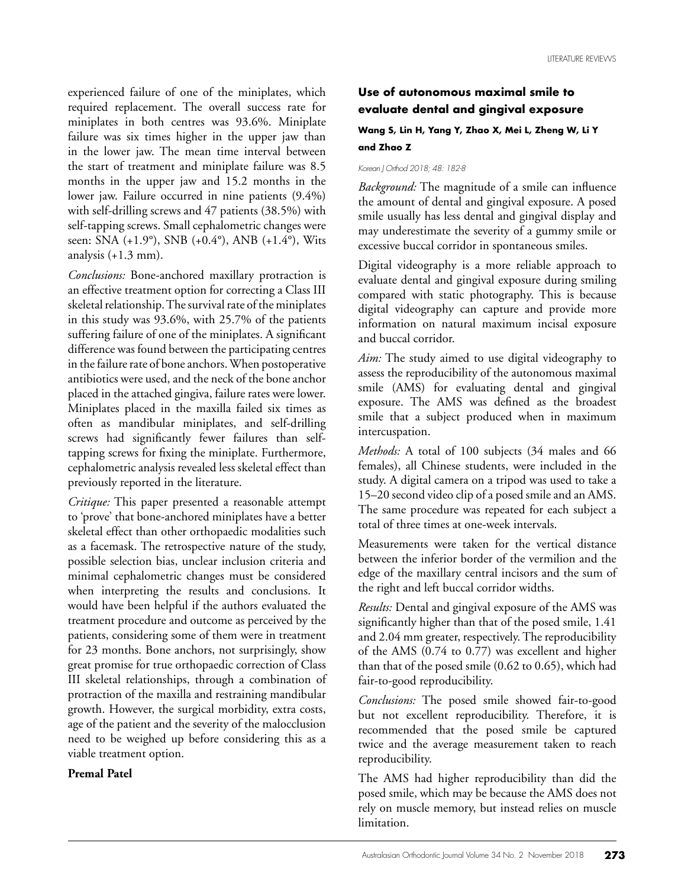experienced failure of one of the miniplates, which required replacement. The overall success rate for miniplates in both centres was 93.6%. Miniplate failure was six times higher in the upper jaw than in the lower jaw. The mean time interval between the start of treatment and miniplate failure was 8.5 months in the upper jaw and 15.2 months in the lower jaw. Failure occurred in nine patients (9.4%) with self-drilling screws and 47 patients (38.5%) with self-tapping screws. Small cephalometric changes were seen: SNA (+1.9°), SNB (+0.4°), ANB (+1.4°), Wits analysis  $(+1.3$  mm).

*Conclusions:* Bone-anchored maxillary protraction is an effective treatment option for correcting a Class III skeletal relationship. The survival rate of the miniplates in this study was 93.6%, with 25.7% of the patients suffering failure of one of the miniplates. A significant difference was found between the participating centres in the failure rate of bone anchors. When postoperative antibiotics were used, and the neck of the bone anchor placed in the attached gingiva, failure rates were lower. Miniplates placed in the maxilla failed six times as often as mandibular miniplates, and self-drilling screws had significantly fewer failures than selftapping screws for fixing the miniplate. Furthermore, cephalometric analysis revealed less skeletal effect than previously reported in the literature.

*Critique:* This paper presented a reasonable attempt to 'prove' that bone-anchored miniplates have a better skeletal effect than other orthopaedic modalities such as a facemask. The retrospective nature of the study, possible selection bias, unclear inclusion criteria and minimal cephalometric changes must be considered when interpreting the results and conclusions. It would have been helpful if the authors evaluated the treatment procedure and outcome as perceived by the patients, considering some of them were in treatment for 23 months. Bone anchors, not surprisingly, show great promise for true orthopaedic correction of Class III skeletal relationships, through a combination of protraction of the maxilla and restraining mandibular growth. However, the surgical morbidity, extra costs, age of the patient and the severity of the malocclusion need to be weighed up before considering this as a viable treatment option.

### **Premal Patel**

## **Use of autonomous maximal smile to evaluate dental and gingival exposure**

### **Wang S, Lin H, Yang Y, Zhao X, Mei L, Zheng W, Li Y and Zhao Z**

#### *Korean J Orthod 2018; 48: 182-8*

*Background:* The magnitude of a smile can influence the amount of dental and gingival exposure. A posed smile usually has less dental and gingival display and may underestimate the severity of a gummy smile or excessive buccal corridor in spontaneous smiles.

Digital videography is a more reliable approach to evaluate dental and gingival exposure during smiling compared with static photography. This is because digital videography can capture and provide more information on natural maximum incisal exposure and buccal corridor.

*Aim:* The study aimed to use digital videography to assess the reproducibility of the autonomous maximal smile (AMS) for evaluating dental and gingival exposure. The AMS was defined as the broadest smile that a subject produced when in maximum intercuspation.

*Methods:* A total of 100 subjects (34 males and 66 females), all Chinese students, were included in the study. A digital camera on a tripod was used to take a 15–20 second video clip of a posed smile and an AMS. The same procedure was repeated for each subject a total of three times at one-week intervals.

Measurements were taken for the vertical distance between the inferior border of the vermilion and the edge of the maxillary central incisors and the sum of the right and left buccal corridor widths.

*Results:* Dental and gingival exposure of the AMS was significantly higher than that of the posed smile, 1.41 and 2.04 mm greater, respectively. The reproducibility of the AMS (0.74 to 0.77) was excellent and higher than that of the posed smile (0.62 to 0.65), which had fair-to-good reproducibility.

*Conclusions:* The posed smile showed fair-to-good but not excellent reproducibility. Therefore, it is recommended that the posed smile be captured twice and the average measurement taken to reach reproducibility.

The AMS had higher reproducibility than did the posed smile, which may be because the AMS does not rely on muscle memory, but instead relies on muscle limitation.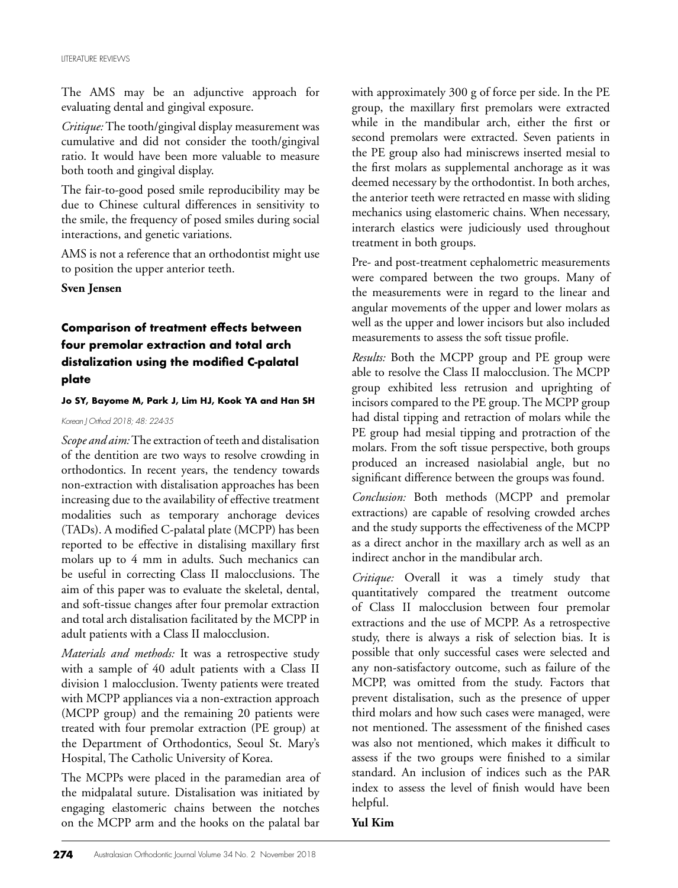The AMS may be an adjunctive approach for evaluating dental and gingival exposure.

*Critique:* The tooth/gingival display measurement was cumulative and did not consider the tooth/gingival ratio. It would have been more valuable to measure both tooth and gingival display.

The fair-to-good posed smile reproducibility may be due to Chinese cultural differences in sensitivity to the smile, the frequency of posed smiles during social interactions, and genetic variations.

AMS is not a reference that an orthodontist might use to position the upper anterior teeth.

**Sven Jensen**

# **Comparison of treatment effects between four premolar extraction and total arch distalization using the modified C-palatal plate**

#### **Jo SY, Bayome M, Park J, Lim HJ, Kook YA and Han SH**

*Korean J Orthod 2018; 48: 224-35*

*Scope and aim:* The extraction of teeth and distalisation of the dentition are two ways to resolve crowding in orthodontics. In recent years, the tendency towards non-extraction with distalisation approaches has been increasing due to the availability of effective treatment modalities such as temporary anchorage devices (TADs). A modified C-palatal plate (MCPP) has been reported to be effective in distalising maxillary first molars up to 4 mm in adults. Such mechanics can be useful in correcting Class II malocclusions. The aim of this paper was to evaluate the skeletal, dental, and soft-tissue changes after four premolar extraction and total arch distalisation facilitated by the MCPP in adult patients with a Class II malocclusion.

*Materials and methods:* It was a retrospective study with a sample of 40 adult patients with a Class II division 1 malocclusion. Twenty patients were treated with MCPP appliances via a non-extraction approach (MCPP group) and the remaining 20 patients were treated with four premolar extraction (PE group) at the Department of Orthodontics, Seoul St. Mary's Hospital, The Catholic University of Korea.

The MCPPs were placed in the paramedian area of the midpalatal suture. Distalisation was initiated by engaging elastomeric chains between the notches on the MCPP arm and the hooks on the palatal bar

with approximately 300 g of force per side. In the PE group, the maxillary first premolars were extracted while in the mandibular arch, either the first or second premolars were extracted. Seven patients in the PE group also had miniscrews inserted mesial to the first molars as supplemental anchorage as it was deemed necessary by the orthodontist. In both arches, the anterior teeth were retracted en masse with sliding mechanics using elastomeric chains. When necessary, interarch elastics were judiciously used throughout treatment in both groups.

Pre- and post-treatment cephalometric measurements were compared between the two groups. Many of the measurements were in regard to the linear and angular movements of the upper and lower molars as well as the upper and lower incisors but also included measurements to assess the soft tissue profile.

*Results:* Both the MCPP group and PE group were able to resolve the Class II malocclusion. The MCPP group exhibited less retrusion and uprighting of incisors compared to the PE group. The MCPP group had distal tipping and retraction of molars while the PE group had mesial tipping and protraction of the molars. From the soft tissue perspective, both groups produced an increased nasiolabial angle, but no significant difference between the groups was found.

*Conclusion:* Both methods (MCPP and premolar extractions) are capable of resolving crowded arches and the study supports the effectiveness of the MCPP as a direct anchor in the maxillary arch as well as an indirect anchor in the mandibular arch.

*Critique:* Overall it was a timely study that quantitatively compared the treatment outcome of Class II malocclusion between four premolar extractions and the use of MCPP. As a retrospective study, there is always a risk of selection bias. It is possible that only successful cases were selected and any non-satisfactory outcome, such as failure of the MCPP, was omitted from the study. Factors that prevent distalisation, such as the presence of upper third molars and how such cases were managed, were not mentioned. The assessment of the finished cases was also not mentioned, which makes it difficult to assess if the two groups were finished to a similar standard. An inclusion of indices such as the PAR index to assess the level of finish would have been helpful.

### **Yul Kim**